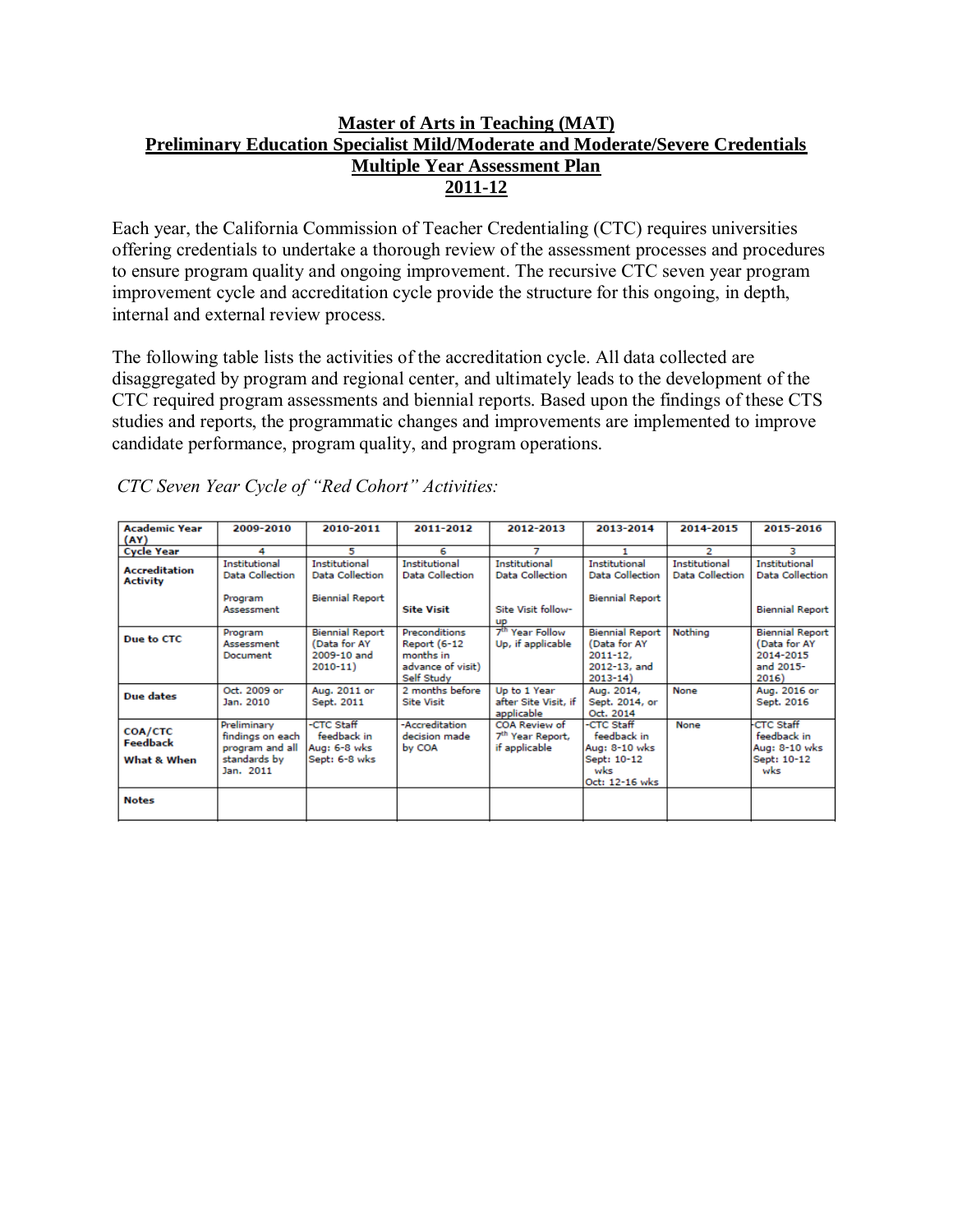# **Master of Arts in Teaching (MAT) Preliminary Education Specialist Mild/Moderate and Moderate/Severe Credentials Multiple Year Assessment Plan 2011-12**

Each year, the California Commission of Teacher Credentialing (CTC) requires universities offering credentials to undertake a thorough review of the assessment processes and procedures to ensure program quality and ongoing improvement. The recursive CTC seven year program improvement cycle and accreditation cycle provide the structure for this ongoing, in depth, internal and external review process.

The following table lists the activities of the accreditation cycle. All data collected are disaggregated by program and regional center, and ultimately leads to the development of the CTC required program assessments and biennial reports. Based upon the findings of these CTS studies and reports, the programmatic changes and improvements are implemented to improve candidate performance, program quality, and program operations.

| <b>Academic Year</b><br>(AY)                     | 2009-2010                                                                       | 2010-2011                                                                | 2011-2012                                                                     | 2012-2013                                                                  | 2013-2014                                                                             | 2014-2015                               | 2015-2016                                                                 |
|--------------------------------------------------|---------------------------------------------------------------------------------|--------------------------------------------------------------------------|-------------------------------------------------------------------------------|----------------------------------------------------------------------------|---------------------------------------------------------------------------------------|-----------------------------------------|---------------------------------------------------------------------------|
| <b>Cycle Year</b>                                | 4                                                                               | 5                                                                        | 6                                                                             |                                                                            |                                                                                       | 2                                       | з                                                                         |
| <b>Accreditation</b><br><b>Activity</b>          | <b>Institutional</b><br><b>Data Collection</b><br>Program<br>Assessment         | <b>Institutional</b><br><b>Data Collection</b><br><b>Biennial Report</b> | <b>Institutional</b><br>Data Collection<br><b>Site Visit</b>                  | <b>Institutional</b><br>Data Collection<br>Site Visit follow-<br><b>UP</b> | <b>Institutional</b><br>Data Collection<br><b>Biennial Report</b>                     | <b>Institutional</b><br>Data Collection | <b>Institutional</b><br><b>Data Collection</b><br><b>Biennial Report</b>  |
| Due to CTC                                       | Program<br>Assessment<br>Document                                               | <b>Biennial Report</b><br>(Data for AY<br>2009-10 and<br>$2010 - 11$     | Preconditions<br>Report (6-12<br>months in<br>advance of visit)<br>Self Study | 7 <sup>th</sup> Year Follow<br>Up, if applicable                           | <b>Biennial Report</b><br>(Data for AY<br>$2011 - 12.$<br>2012-13, and<br>$2013 - 14$ | Nothing                                 | <b>Biennial Report</b><br>(Data for AY<br>2014-2015<br>and 2015-<br>2016) |
| Due dates                                        | Oct. 2009 or<br>Jan. 2010                                                       | Aug. 2011 or<br>Sept. 2011                                               | 2 months before<br><b>Site Visit</b>                                          | Up to 1 Year<br>after Site Visit, if<br>applicable                         | Aug. 2014,<br>Sept. 2014, or<br>Oct. 2014                                             | None                                    | Aug. 2016 or<br>Sept. 2016                                                |
| <b>COA/CTC</b><br><b>Feedback</b><br>What & When | Preliminary<br>findings on each<br>program and all<br>standards by<br>Jan. 2011 | -CTC Staff<br>feedback in<br>Aug: 6-8 wks<br>Sept: 6-8 wks               | -Accreditation<br>decision made.<br>by COA                                    | <b>COA Review of</b><br>7 <sup>th</sup> Year Report,<br>if applicable      | -CTC Staff<br>feedback in<br>Aug: 8-10 wks<br>Sept: 10-12<br>wks<br>Oct: 12-16 wks    | None                                    | <b>CTC Staff</b><br>feedback in<br>Aug: 8-10 wks<br>Sept: 10-12<br>wks    |
| <b>Notes</b>                                     |                                                                                 |                                                                          |                                                                               |                                                                            |                                                                                       |                                         |                                                                           |

*CTC Seven Year Cycle of "Red Cohort" Activities:*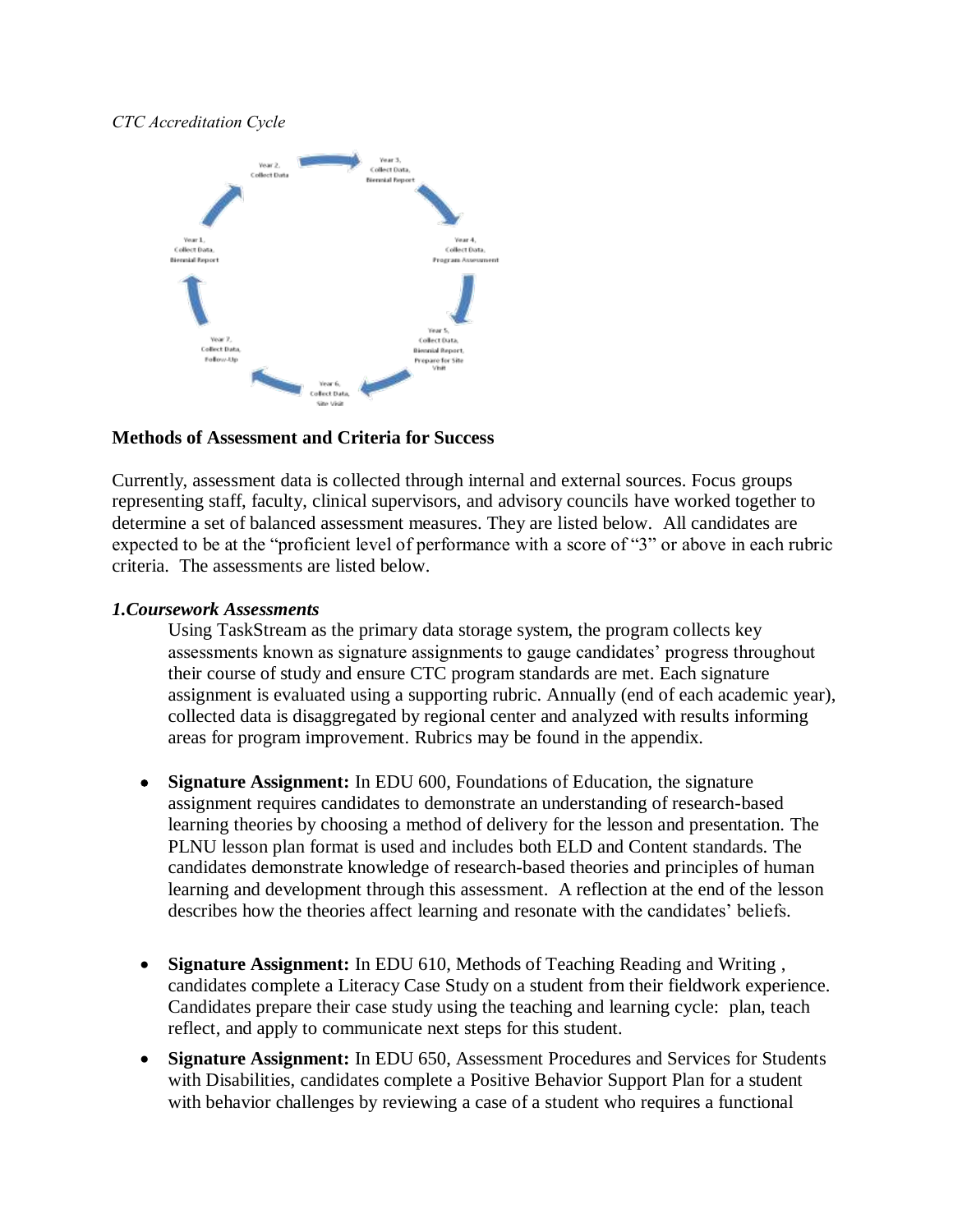### *CTC Accreditation Cycle*



#### **Methods of Assessment and Criteria for Success**

Currently, assessment data is collected through internal and external sources. Focus groups representing staff, faculty, clinical supervisors, and advisory councils have worked together to determine a set of balanced assessment measures. They are listed below. All candidates are expected to be at the "proficient level of performance with a score of "3" or above in each rubric criteria. The assessments are listed below.

#### *1.Coursework Assessments*

Using TaskStream as the primary data storage system, the program collects key assessments known as signature assignments to gauge candidates' progress throughout their course of study and ensure CTC program standards are met. Each signature assignment is evaluated using a supporting rubric. Annually (end of each academic year), collected data is disaggregated by regional center and analyzed with results informing areas for program improvement. Rubrics may be found in the appendix.

- **Signature Assignment:** In EDU 600, Foundations of Education, the signature assignment requires candidates to demonstrate an understanding of research-based learning theories by choosing a method of delivery for the lesson and presentation. The PLNU lesson plan format is used and includes both ELD and Content standards. The candidates demonstrate knowledge of research-based theories and principles of human learning and development through this assessment. A reflection at the end of the lesson describes how the theories affect learning and resonate with the candidates' beliefs.
- **Signature Assignment:** In EDU 610, Methods of Teaching Reading and Writing , candidates complete a Literacy Case Study on a student from their fieldwork experience. Candidates prepare their case study using the teaching and learning cycle: plan, teach reflect, and apply to communicate next steps for this student.
- **Signature Assignment:** In EDU 650, Assessment Procedures and Services for Students with Disabilities, candidates complete a Positive Behavior Support Plan for a student with behavior challenges by reviewing a case of a student who requires a functional